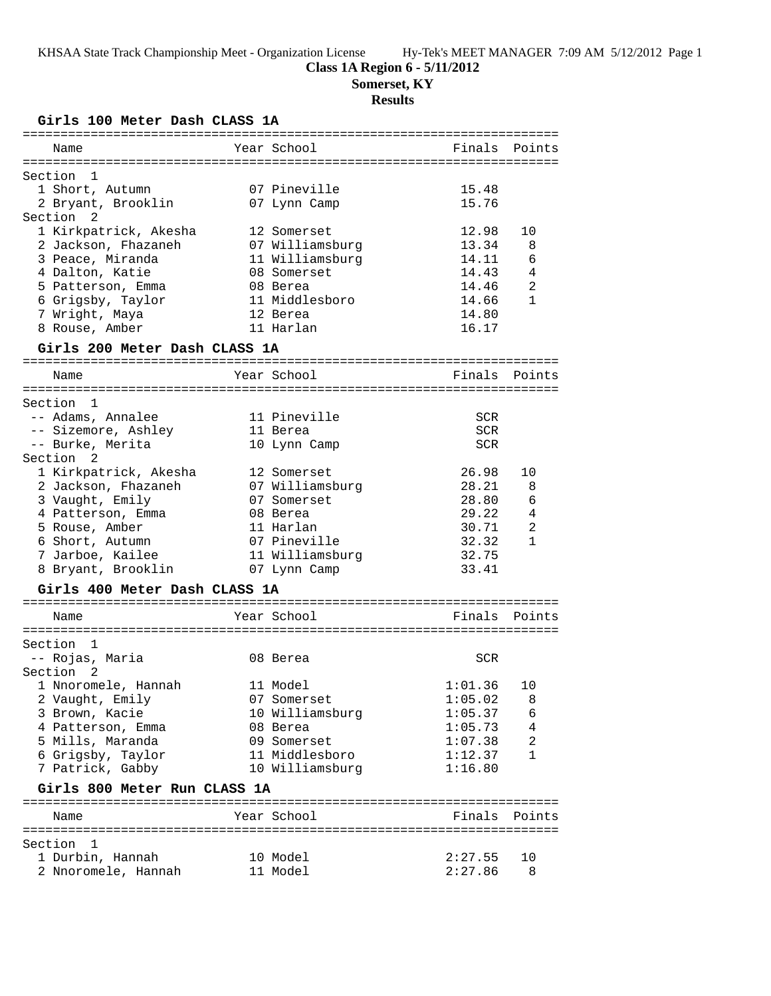# **Class 1A Region 6 - 5/11/2012**

**Somerset, KY**

# **Results**

**Girls 100 Meter Dash CLASS 1A**

| ============                  |                 |            |              |
|-------------------------------|-----------------|------------|--------------|
| Name                          | Year School     | Finals     | Points       |
| Section<br>ı                  |                 |            |              |
| 1 Short, Autumn               | 07 Pineville    | 15.48      |              |
| 2 Bryant, Brooklin            | 07 Lynn Camp    | 15.76      |              |
| Section<br>2                  |                 |            |              |
| 1 Kirkpatrick, Akesha         | 12 Somerset     | 12.98      | 10           |
| 2 Jackson, Fhazaneh           | 07 Williamsburg | 13.34      | 8            |
| 3 Peace, Miranda              | 11 Williamsburg | 14.11      | 6            |
| 4 Dalton, Katie               | 08 Somerset     | 14.43      | 4            |
| 5 Patterson, Emma             | 08 Berea        | 14.46      | 2            |
| 6 Grigsby, Taylor             | 11 Middlesboro  | 14.66      | $\mathbf{1}$ |
| 7 Wright, Maya                | 12 Berea        | 14.80      |              |
| 8 Rouse, Amber                | 11 Harlan       | 16.17      |              |
| Girls 200 Meter Dash CLASS 1A |                 |            |              |
|                               |                 |            |              |
| Name                          | Year School     | Finals     | Points       |
| Section<br>1                  |                 |            |              |
| -- Adams, Annalee             | 11 Pineville    | <b>SCR</b> |              |
| -- Sizemore, Ashley           | 11 Berea        | SCR        |              |
| -- Burke, Merita              |                 | <b>SCR</b> |              |
| Section 2                     | 10 Lynn Camp    |            |              |
| 1 Kirkpatrick, Akesha         | 12 Somerset     | 26.98      | 10           |
| 2 Jackson, Fhazaneh           | 07 Williamsburg | 28.21      | 8            |
| 3 Vaught, Emily               | 07 Somerset     | 28.80      | 6            |
| 4 Patterson, Emma             | 08 Berea        | 29.22      | 4            |
| 5 Rouse, Amber                | 11 Harlan       | 30.71      | 2            |
| 6 Short, Autumn               | 07 Pineville    | 32.32      | $\mathbf{1}$ |
| 7 Jarboe, Kailee              | 11 Williamsburg | 32.75      |              |
|                               |                 | 33.41      |              |
| 8 Bryant, Brooklin            | 07 Lynn Camp    |            |              |
| Girls 400 Meter Dash CLASS 1A |                 |            |              |
| Name                          | Year School     | Finals     | Points       |
|                               |                 |            |              |
| Section<br>1                  |                 |            |              |
| -- Rojas, Maria               | 08 Berea        | SCR        |              |
| Section<br>2                  |                 |            |              |
| 1 Nnoromele, Hannah           | 11 Model        | 1:01.36    | 10           |
| 2 Vaught, Emily               | 07 Somerset     | 1:05.02    | 8            |
| 3 Brown, Kacie                | 10 Williamsburg | 1:05.37    | 6            |
| 4 Patterson, Emma             | 08 Berea        | 1:05.73    | 4            |
| 5 Mills, Maranda              | 09 Somerset     | 1:07.38    | 2            |
| 6 Grigsby, Taylor             | 11 Middlesboro  | 1:12.37    | 1            |
| 7 Patrick, Gabby              | 10 Williamsburg | 1:16.80    |              |
| Girls 800 Meter Run CLASS 1A  |                 |            |              |
| Name                          | Year School     | Finals     | Points       |
|                               |                 |            |              |
| Section 1                     |                 |            |              |
| 1 Durbin, Hannah              | 10 Model        | 2:27.55    | 10           |
| 2 Nnoromele, Hannah           | 11 Model        | 2:27.86    | 8            |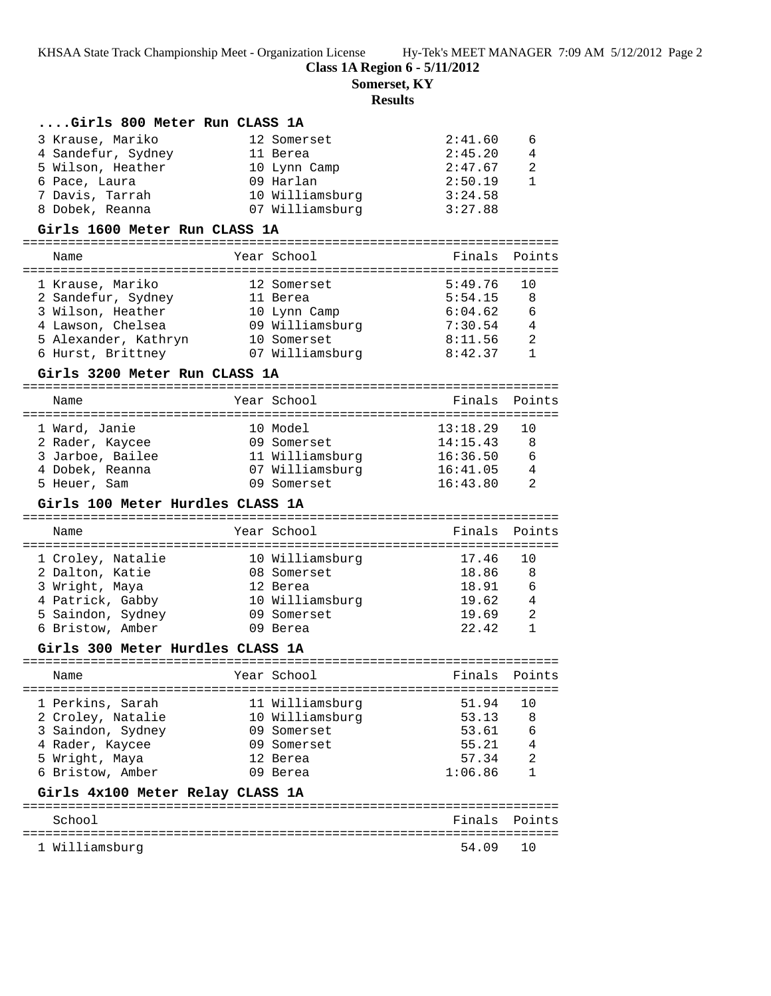**Class 1A Region 6 - 5/11/2012**

**Somerset, KY**

# **Results**

| Girls 800 Meter Run CLASS 1A                                           |             |                                 |                               |                |
|------------------------------------------------------------------------|-------------|---------------------------------|-------------------------------|----------------|
| 3 Krause, Mariko                                                       |             | 12 Somerset                     | 2:41.60                       | 6              |
| 4 Sandefur, Sydney<br>11 Berea                                         |             |                                 | 2:45.20                       | 4              |
| 5 Wilson, Heather                                                      |             | 10 Lynn Camp                    | 2:47.67                       | 2              |
| 6 Pace, Laura                                                          |             | 09 Harlan                       | 2:50.19                       | $\mathbf{1}$   |
| 7 Davis, Tarrah                                                        |             | 10 Williamsburg                 | 3:24.58                       |                |
| 8 Dobek, Reanna                                                        |             | 07 Williamsburg                 | 3:27.88                       |                |
| Girls 1600 Meter Run CLASS 1A                                          |             |                                 |                               |                |
|                                                                        |             |                                 |                               |                |
| Name                                                                   | Year School |                                 | Finals Points                 |                |
| 1 Krause, Mariko                                                       |             | 12 Somerset                     | 5:49.76                       | 10             |
| 2 Sandefur, Sydney                                                     | 11 Berea    |                                 | 5:54.15                       | 8              |
| 3 Wilson, Heather                                                      |             |                                 | 6:04.62                       | 6              |
| 4 Lawson, Chelsea                                                      |             | 10 Lynn Camp<br>09 Williamsburg | 7:30.54                       | $\overline{4}$ |
|                                                                        |             | 10 Somerset                     | 8:11.56                       | 2              |
| 5 Alexander, Kathryn 10 Somerset<br>6 Hurst, Brittney 107 Williamsburg |             |                                 | 8:42.37                       | 1              |
| Girls 3200 Meter Run CLASS 1A                                          |             |                                 |                               |                |
| Name                                                                   | Year School |                                 | Finals Points                 |                |
|                                                                        |             |                                 |                               |                |
| 1 Ward, Janie                                                          | 10 Model    |                                 | 13:18.29                      | 10             |
| 2 Rader, Kaycee                                                        |             | 09 Somerset                     | 14:15.43                      | 8              |
| 3 Jarboe, Bailee                                                       |             | 11 Williamsburg                 | 16:36.50                      | - 6            |
| 4 Dobek, Reanna                                                        |             | 07 Williamsburg                 | 16:41.05                      | 4              |
| 5 Heuer, Sam                                                           |             | 09 Somerset                     | 16:43.80                      | 2              |
|                                                                        |             |                                 |                               |                |
| Girls 100 Meter Hurdles CLASS 1A                                       |             |                                 |                               |                |
| Name                                                                   | Year School |                                 | Finals                        | Points         |
|                                                                        |             |                                 |                               |                |
| 1 Croley, Natalie                                                      |             | 10 Williamsburg                 | 17.46                         | 10             |
| 2 Dalton, Katie                                                        |             | 08 Somerset                     | 18.86                         | 8<br>6         |
| 3 Wright, Maya                                                         | 12 Berea    |                                 | 18.91                         | 4              |
| 4 Patrick, Gabby 10 Williamsburg                                       |             | 09 Somerset                     | 19.62                         | 2              |
| 5 Saindon, Sydney<br>6 Bristow, Amber<br>09 Berea                      |             |                                 | 19.69<br>22.42                | $\mathbf{1}$   |
| Girls 300 Meter Hurdles CLASS 1A                                       |             |                                 |                               |                |
| Name                                                                   | Year School |                                 | Finals                        | Points         |
| ======================                                                 |             |                                 | =======================       |                |
| 1 Perkins, Sarah                                                       |             | 11 Williamsburg                 | 51.94                         | 10             |
| 2 Croley, Natalie                                                      |             | 10 Williamsburg                 | 53.13                         | 8              |
| 3 Saindon, Sydney                                                      |             | 09 Somerset                     | 53.61<br>55.21                | 6<br>4         |
| 4 Rader, Kaycee                                                        |             | 09 Somerset                     |                               | 2              |
| 5 Wright, Maya                                                         |             | 12 Berea<br>09 Berea            | 57.34<br>1:06.86              | 1              |
| 6 Bristow, Amber                                                       |             |                                 |                               |                |
| Girls 4x100 Meter Relay CLASS 1A<br>================================== |             | ==============                  |                               |                |
| School                                                                 |             |                                 | Finals<br>------------------- | Points         |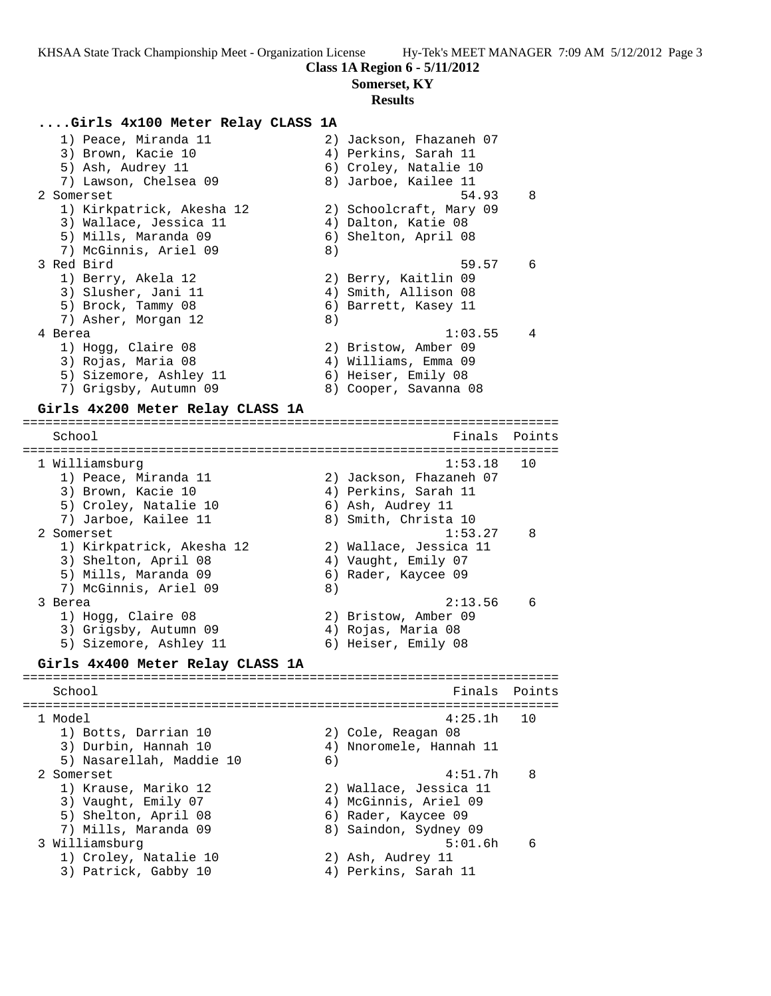### **Class 1A Region 6 - 5/11/2012**

**Somerset, KY**

#### **Results**

#### **....Girls 4x100 Meter Relay CLASS 1A**

| 1) Peace, Miranda 11      | 2) Jackson, Fhazaneh 07 |
|---------------------------|-------------------------|
| 3) Brown, Kacie 10        | 4) Perkins, Sarah 11    |
| 5) Ash, Audrey 11         | 6) Croley, Natalie 10   |
| 7) Lawson, Chelsea 09     | 8) Jarboe, Kailee 11    |
| 2 Somerset                | 54.93<br>8              |
| 1) Kirkpatrick, Akesha 12 | 2) Schoolcraft, Mary 09 |
| 3) Wallace, Jessica 11    | 4) Dalton, Katie 08     |
| 5) Mills, Maranda 09      | 6) Shelton, April 08    |
| 7) McGinnis, Ariel 09     | 8)                      |
| 3 Red Bird                | 59.57<br>6              |
| 1) Berry, Akela 12        | 2) Berry, Kaitlin 09    |
| 3) Slusher, Jani 11       | 4) Smith, Allison 08    |
| 5) Brock, Tammy 08        | 6) Barrett, Kasey 11    |
| 7) Asher, Morgan 12       | 8)                      |
| 4 Berea                   | 1:03.55<br>4            |
| 1) Hogg, Claire 08        | 2) Bristow, Amber 09    |
| 3) Rojas, Maria 08        | 4) Williams, Emma 09    |
| 5) Sizemore, Ashley 11    | 6) Heiser, Emily 08     |
| 7) Grigsby, Autumn 09     | 8) Cooper, Savanna 08   |
|                           |                         |

### **Girls 4x200 Meter Relay CLASS 1A**

======================================================================= School **Finals Points** ======================================================================= 1 Williamsburg 1:53.18 10 1) Peace, Miranda 11 2) Jackson, Fhazaneh 07 3) Brown, Kacie 10  $\hskip1cm$  4) Perkins, Sarah 11 5) Croley, Natalie 10 (6) Ash, Audrey 11 7) Jarboe, Kailee 11  $\hskip1cm 8)$  Smith, Christa 10 2 Somerset 1:53.27 8 1) Kirkpatrick, Akesha 12 2) Wallace, Jessica 11 3) Shelton, April 08 4) Vaught, Emily 07 5) Mills, Maranda 09 6) Rader, Kaycee 09 7) McGinnis, Ariel 09 8) 3 Berea 2:13.56 6 1) Hogg, Claire 08 2) Bristow, Amber 09 3) Grigsby, Autumn 09 (4) Rojas, Maria 08 5) Sizemore, Ashley 11 6) Heiser, Emily 08 **Girls 4x400 Meter Relay CLASS 1A** ======================================================================= School **Finals** Points ======================================================================= 1 Model 4:25.1h 10 1) Botts, Darrian 10 2) Cole, Reagan 08 3) Durbin, Hannah 10 4) Nnoromele, Hannah 11 5) Nasarellah, Maddie 10 6) 2 Somerset 4:51.7h 8 1) Krause, Mariko 12 2) Wallace, Jessica 11 3) Vaught, Emily 07 4) McGinnis, Ariel 09 5) Shelton, April 08 6) Rader, Kaycee 09 7) Mills, Maranda 09 8) Saindon, Sydney 09 3 Williamsburg 5:01.6h 6

1) Croley, Natalie 10 2) Ash, Audrey 11 3) Patrick, Gabby 10  $\hskip1cm$  4) Perkins, Sarah 11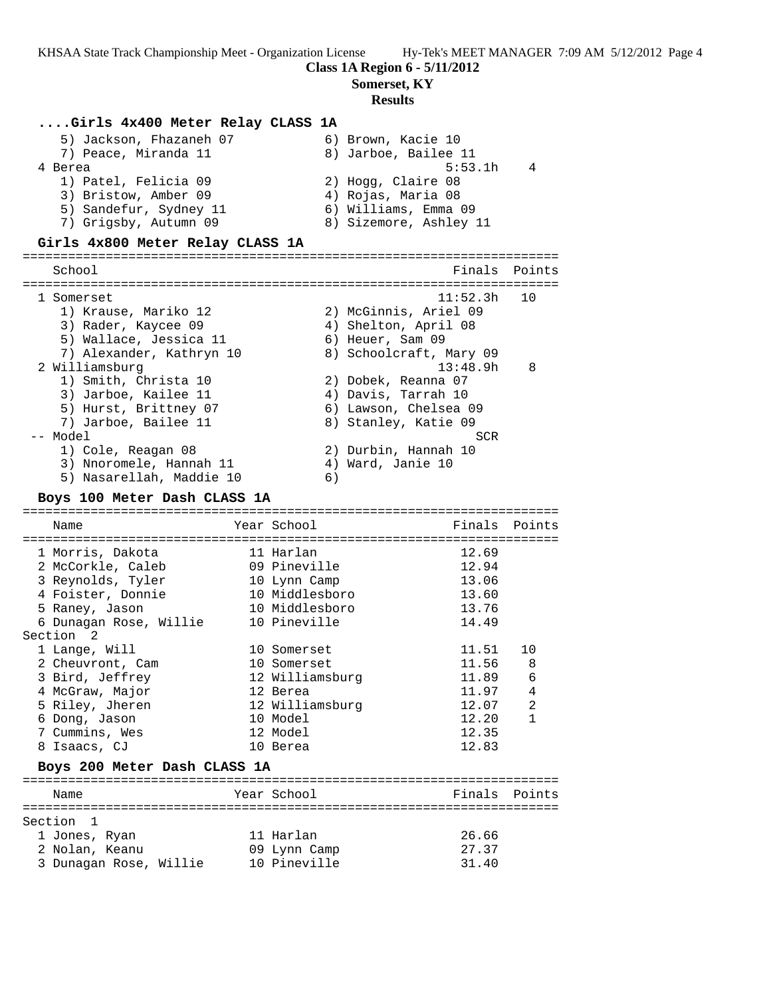### **Class 1A Region 6 - 5/11/2012**

**Somerset, KY**

#### **Results**

### **....Girls 4x400 Meter Relay CLASS 1A**

| 5) Jackson, Fhazaneh 07 | 6) Brown, Kacie 10     |
|-------------------------|------------------------|
| 7) Peace, Miranda 11    | 8) Jarboe, Bailee 11   |
| 4 Berea                 | 5:53.1h<br>4           |
| 1) Patel, Felicia 09    | 2) Hogg, Claire 08     |
| 3) Bristow, Amber 09    | 4) Rojas, Maria 08     |
| 5) Sandefur, Sydney 11  | 6) Williams, Emma 09   |
| 7) Grigsby, Autumn 09   | 8) Sizemore, Ashley 11 |
|                         |                        |

#### **Girls 4x800 Meter Relay CLASS 1A**

======================================================================= School **Finals Points** ======================================================================= 1 Somerset 11:52.3h 10 1) Krause, Mariko 12 2) McGinnis, Ariel 09 3) Rader, Kaycee 09 (4) Shelton, April 08 5) Wallace, Jessica 11 (6) Heuer, Sam 09 7) Alexander, Kathryn 10 8) Schoolcraft, Mary 09 2 Williamsburg 13:48.9h 8 1) Smith, Christa 10 2) Dobek, Reanna 07 3) Jarboe, Kailee 11  $\qquad \qquad$  4) Davis, Tarrah 10 5) Hurst, Brittney 07 6) Lawson, Chelsea 09 7) Jarboe, Bailee 11 and 8) Stanley, Katie 09 -- Model SCR 1) Cole, Reagan 08 2) Durbin, Hannah 10 3) Nnoromele, Hannah 11  $\qquad \qquad$  4) Ward, Janie 10 5) Nasarellah, Maddie 10 (6)

#### **Boys 100 Meter Dash CLASS 1A**

======================================================================= Name The Year School Team Points Points ======================================================================= 1 Morris, Dakota 11 Harlan 12.69 2 McCorkle, Caleb 09 Pineville 12.94 3 Reynolds, Tyler 10 Lynn Camp 13.06 4 Foister, Donnie 10 Middlesboro 13.60 5 Raney, Jason 10 Middlesboro 13.76 6 Dunagan Rose, Willie 10 Pineville 14.49 Section 2 1 Lange, Will 10 Somerset 11.51 10 2 Cheuvront, Cam and 10 Somerset 11.56 8 3 Bird, Jeffrey 12 Williamsburg 11.89 6 4 McGraw, Major 12 Berea 11.97 4 5 Riley, Jheren 12 Williamsburg 12.07 2 6 Dong, Jason 10 Model 12.20 1 7 Cummins, Wes 12 Model 12.35 8 Isaacs, CJ 10 Berea 12.83 **Boys 200 Meter Dash CLASS 1A** ======================================================================= Name  $Year$  School ======================================================================= Section 1 1 Jones, Ryan 11 Harlan 26.66 2 Nolan, Keanu 09 Lynn Camp 27.37 3 Dunagan Rose, Willie 10 Pineville 31.40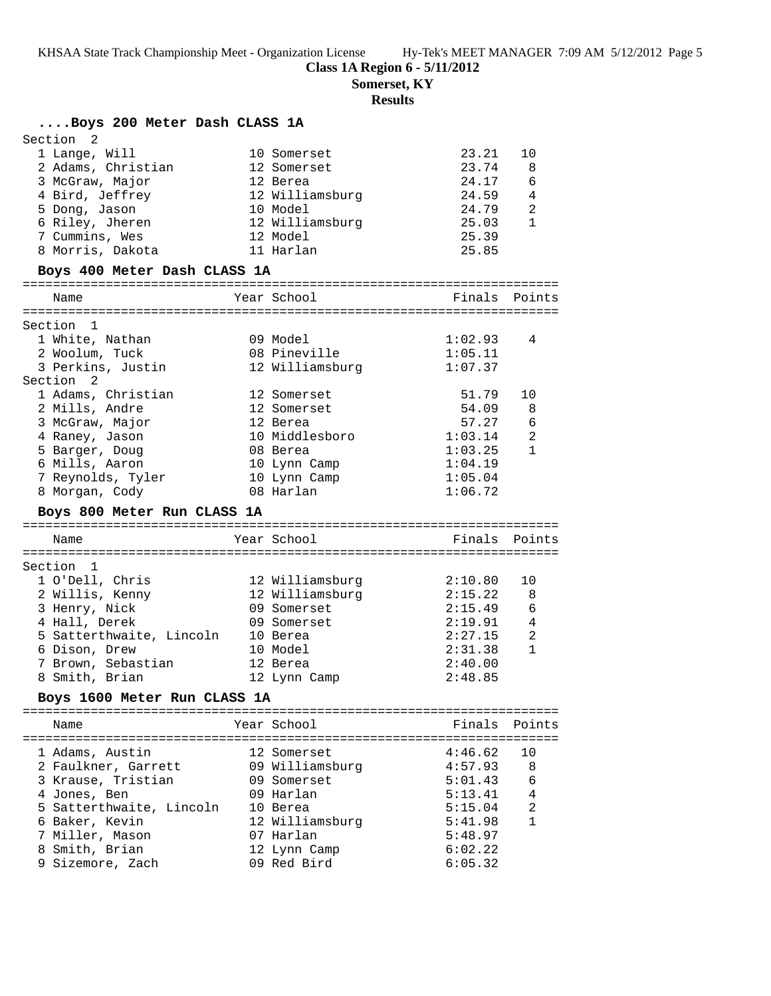**Class 1A Region 6 - 5/11/2012**

**Somerset, KY**

## **Results**

## **....Boys 200 Meter Dash CLASS 1A**

| Section <sub>2</sub> |                 |       |    |
|----------------------|-----------------|-------|----|
| 1 Lange, Will        | 10 Somerset     | 23.21 | 10 |
| 2 Adams, Christian   | 12 Somerset     | 23.74 | 8  |
| 3 McGraw, Major      | 12 Berea        | 24.17 | 6  |
| 4 Bird, Jeffrey      | 12 Williamsburg | 24.59 | 4  |
| 5 Dong, Jason        | 10 Model        | 24.79 | 2  |
| 6 Riley, Jheren      | 12 Williamsburg | 25.03 |    |
| 7 Cummins, Wes       | 12 Model        | 25.39 |    |
| 8 Morris, Dakota     | 11 Harlan       | 25.85 |    |
|                      |                 |       |    |

### **Boys 400 Meter Dash CLASS 1A**

| Name                                     | Year School     | Finals        | Points         |
|------------------------------------------|-----------------|---------------|----------------|
|                                          |                 |               |                |
| Section<br>$\overline{1}$                |                 |               |                |
| 1 White, Nathan                          | 09 Model        | 1:02.93       | 4              |
| 2 Woolum, Tuck                           | 08 Pineville    | 1:05.11       |                |
| 3 Perkins, Justin                        | 12 Williamsburg | 1:07.37       |                |
| Section <sub>2</sub>                     |                 |               |                |
| 1 Adams, Christian                       | 12 Somerset     | 51.79         | 10             |
| 2 Mills, Andre                           | 12 Somerset     | 54.09         | 8              |
| 3 McGraw, Major                          | 12 Berea        | 57.27         | 6              |
| 4 Raney, Jason                           | 10 Middlesboro  | 1:03.14       | $\overline{2}$ |
| 5 Barger, Doug                           | 08 Berea        | 1:03.25       | $\mathbf{1}$   |
| 6 Mills, Aaron                           | 10 Lynn Camp    | 1:04.19       |                |
| 7 Reynolds, Tyler                        | 10 Lynn Camp    | 1:05.04       |                |
| 8 Morgan, Cody                           | 08 Harlan       | 1:06.72       |                |
|                                          |                 |               |                |
| Boys 800 Meter Run CLASS 1A              |                 |               |                |
|                                          |                 |               |                |
| Name                                     | Year School     | Finals Points |                |
|                                          |                 |               |                |
| Section 1                                |                 |               |                |
| 1 O'Dell, Chris                          | 12 Williamsburg | 2:10.80       | 10             |
| 2 Willis, Kenny                          | 12 Williamsburg | 2:15.22       | 8              |
| 3 Henry, Nick                            | 09 Somerset     | 2:15.49       | 6              |
| 4 Hall, Derek                            | 09 Somerset     | 2:19.91       | 4              |
| 5 Satterthwaite, Lincoln                 | 10 Berea        | 2:27.15       | 2              |
| 6 Dison, Drew                            | 10 Model        | 2:31.38       | $\mathbf{1}$   |
| 7 Brown, Sebastian                       | 12 Berea        | 2:40.00       |                |
| 8 Smith, Brian                           | 12 Lynn Camp    | 2:48.85       |                |
| Boys 1600 Meter Run CLASS 1A             |                 |               |                |
|                                          |                 |               |                |
| Name                                     | Year School     | Finals        | Points         |
|                                          |                 |               |                |
| 1 Adams, Austin                          | 12 Somerset     | 4:46.62       | 10             |
| 2 Faulkner, Garrett                      | 09 Williamsburg | 4:57.93       | 8              |
| 3 Krause, Tristian                       | 09 Somerset     | 5:01.43       | 6              |
|                                          | 09 Harlan       | 5:13.41       | 4              |
| 4 Jones, Ben<br>5 Satterthwaite, Lincoln | 10 Berea        | 5:15.04       | 2              |
|                                          |                 |               | $\mathbf{1}$   |
| 6 Baker, Kevin                           | 12 Williamsburg | 5:41.98       |                |
| 7 Miller, Mason                          | 07 Harlan       | 5:48.97       |                |
| 8 Smith, Brian                           | 12 Lynn Camp    | 6:02.22       |                |

9 Sizemore, Zach 09 Red Bird 6:05.32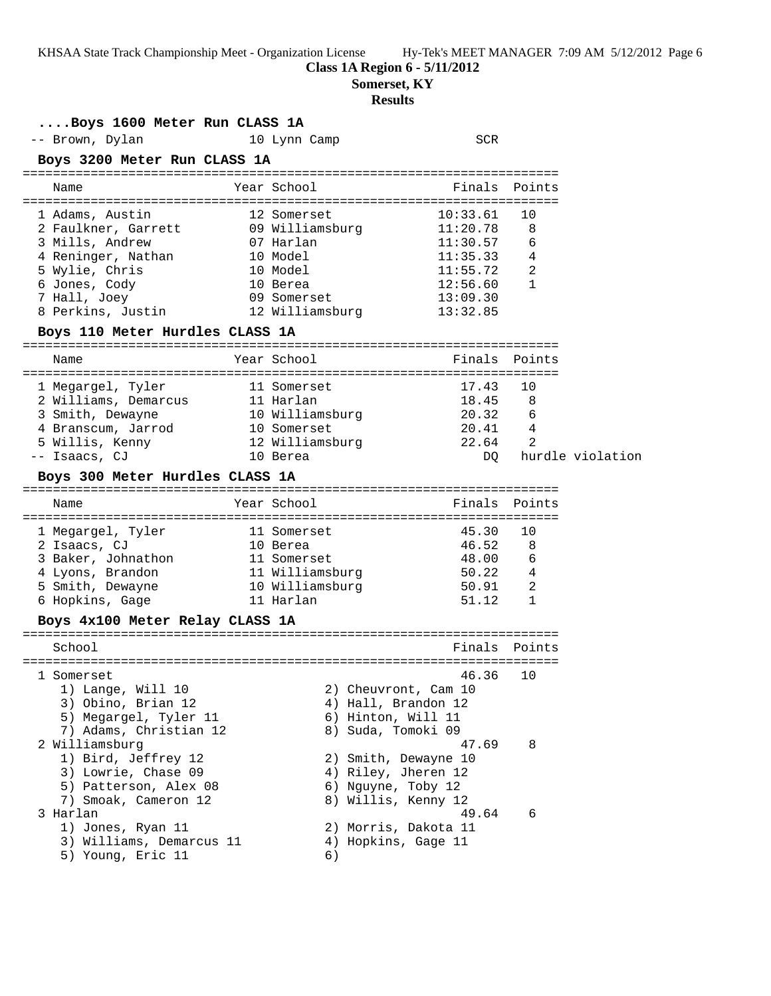**Class 1A Region 6 - 5/11/2012**

**Somerset, KY**

## **Results**

| Boys 1600 Meter Run CLASS 1A                     |                             |                                             |                |                  |
|--------------------------------------------------|-----------------------------|---------------------------------------------|----------------|------------------|
| -- Brown, Dylan                                  | 10 Lynn Camp                | <b>SCR</b>                                  |                |                  |
| Boys 3200 Meter Run CLASS 1A                     |                             |                                             |                |                  |
| Name                                             | Year School                 |                                             | Finals Points  |                  |
| 1 Adams, Austin                                  | 12 Somerset                 | 10:33.61                                    | 10             |                  |
| 2 Faulkner, Garrett 09 Williamsburg 11:20.78     |                             |                                             | 8              |                  |
| 3 Mills, Andrew                                  | 07 Harlan                   | 11:30.57                                    | 6              |                  |
| 4 Reninger, Nathan                               | 10 Model                    | 11:35.33                                    | 4              |                  |
| 5 Wylie, Chris                                   | 10 Model                    | 11:55.72                                    | 2              |                  |
| 6 Jones, Cody                                    | 10 Berea                    | 12:56.60                                    | $\mathbf{1}$   |                  |
|                                                  |                             | 13:09.30                                    |                |                  |
| Boys 110 Meter Hurdles CLASS 1A                  |                             |                                             |                |                  |
| Name                                             | Year School                 |                                             | Finals Points  |                  |
|                                                  |                             |                                             |                |                  |
| 1 Megargel, Tyler                                | 11 Somerset                 | 17.43                                       | 10             |                  |
| 2 Williams, Demarcus                             | 11 Harlan                   | 18.45 8                                     |                |                  |
| 3 Smith, Dewayne                                 | 10 Williamsburg             | 20.32                                       | 6              |                  |
| 4 Branscum, Jarrod 10 Somerset                   |                             | 20.41                                       | $\overline{4}$ |                  |
| 5 Willis, Kenny<br>- Isaacs, CJ<br>-- Isaacs, CJ | 12 Williamsburg<br>10 Berea | 22.64<br>DO                                 | $\mathfrak{D}$ | hurdle violation |
| Boys 300 Meter Hurdles CLASS 1A                  |                             |                                             |                |                  |
|                                                  |                             |                                             |                |                  |
| Name                                             | Year School                 |                                             | Finals Points  |                  |
| 1 Megargel, Tyler<br>2 Isaacs, CJ                | 11 Somerset                 | 45.30                                       | 10             |                  |
| 2 Isaacs, CJ                                     | 10 Berea                    | 46.52                                       | 8              |                  |
| 3 Baker, Johnathon                               | 11 Somerset                 | 48.00                                       | 6              |                  |
| 4 Lyons, Brandon                                 | 11 Williamsburg             | 50.22                                       | 4              |                  |
| 5 Smith, Dewayne 10 Williamsburg                 |                             | 50.91                                       | 2              |                  |
| 6 Hopkins, Gage                                  | 11 Harlan                   | 51.12                                       | $\mathbf{1}$   |                  |
| Boys 4x100 Meter Relay CLASS 1A                  |                             |                                             |                |                  |
| School                                           |                             | Finals                                      | Points         |                  |
|                                                  |                             |                                             |                |                  |
| 1 Somerset                                       |                             | 46.36                                       | 10             |                  |
| 1) Lange, Will 10<br>3) Obino, Brian 12          |                             | 2) Cheuvront, Cam 10<br>4) Hall, Brandon 12 |                |                  |
| 5) Megargel, Tyler 11                            |                             | 6) Hinton, Will 11                          |                |                  |
| 7) Adams, Christian 12                           |                             | 8) Suda, Tomoki 09                          |                |                  |
| 2 Williamsburg                                   |                             | 47.69                                       | 8              |                  |
| 1) Bird, Jeffrey 12                              |                             | 2) Smith, Dewayne 10                        |                |                  |
| 3) Lowrie, Chase 09                              |                             | 4) Riley, Jheren 12                         |                |                  |
| 5) Patterson, Alex 08                            |                             | 6) Nguyne, Toby 12                          |                |                  |
| 7) Smoak, Cameron 12                             |                             | 8) Willis, Kenny 12                         |                |                  |
| 3 Harlan                                         |                             | 49.64                                       | 6              |                  |
| 1) Jones, Ryan 11                                |                             | 2) Morris, Dakota 11                        |                |                  |
| 3) Williams, Demarcus 11                         |                             | 4) Hopkins, Gage 11                         |                |                  |
| 5) Young, Eric 11                                | 6)                          |                                             |                |                  |